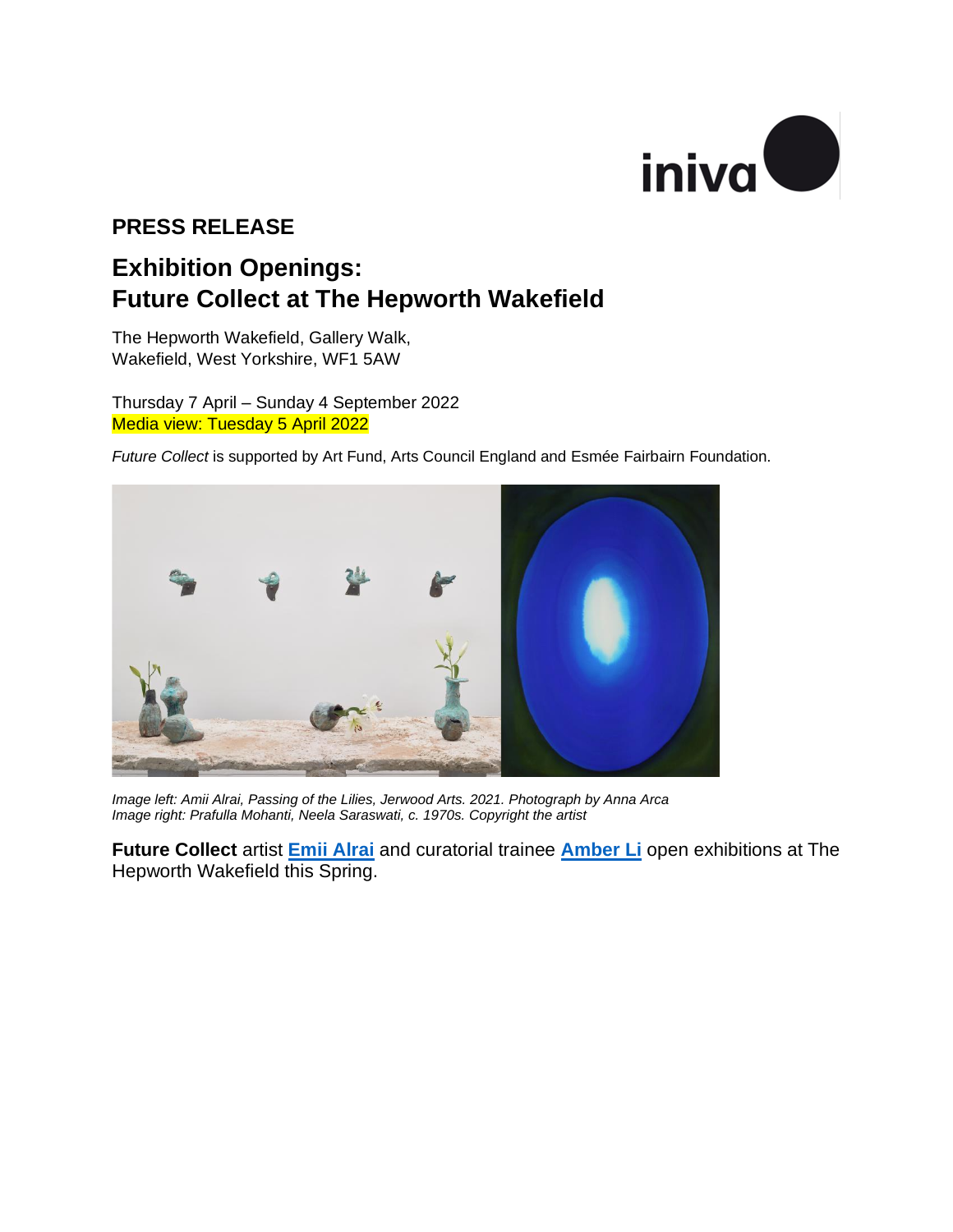

# **PRESS RELEASE**

# **Exhibition Openings: Future Collect at The Hepworth Wakefield**

The Hepworth Wakefield, Gallery Walk, Wakefield, West Yorkshire, WF1 5AW

Thursday 7 April – Sunday 4 September 2022 Media view: Tuesday 5 April 2022

*Future Collect* is supported by Art Fund, Arts Council England and Esmée Fairbairn Foundation.



*Image left: Amii Alrai, Passing of the Lilies, Jerwood Arts. 2021. Photograph by Anna Arca Image right: Prafulla Mohanti, Neela Saraswati, c. 1970s. Copyright the artist*

**Future Collect** artist **[Emii Alrai](https://emiialrai.com/)** and curatorial trainee **[Amber Li](https://iniva.org/library/digital-archive/people/l/amber-li/)** open exhibitions at The Hepworth Wakefield this Spring.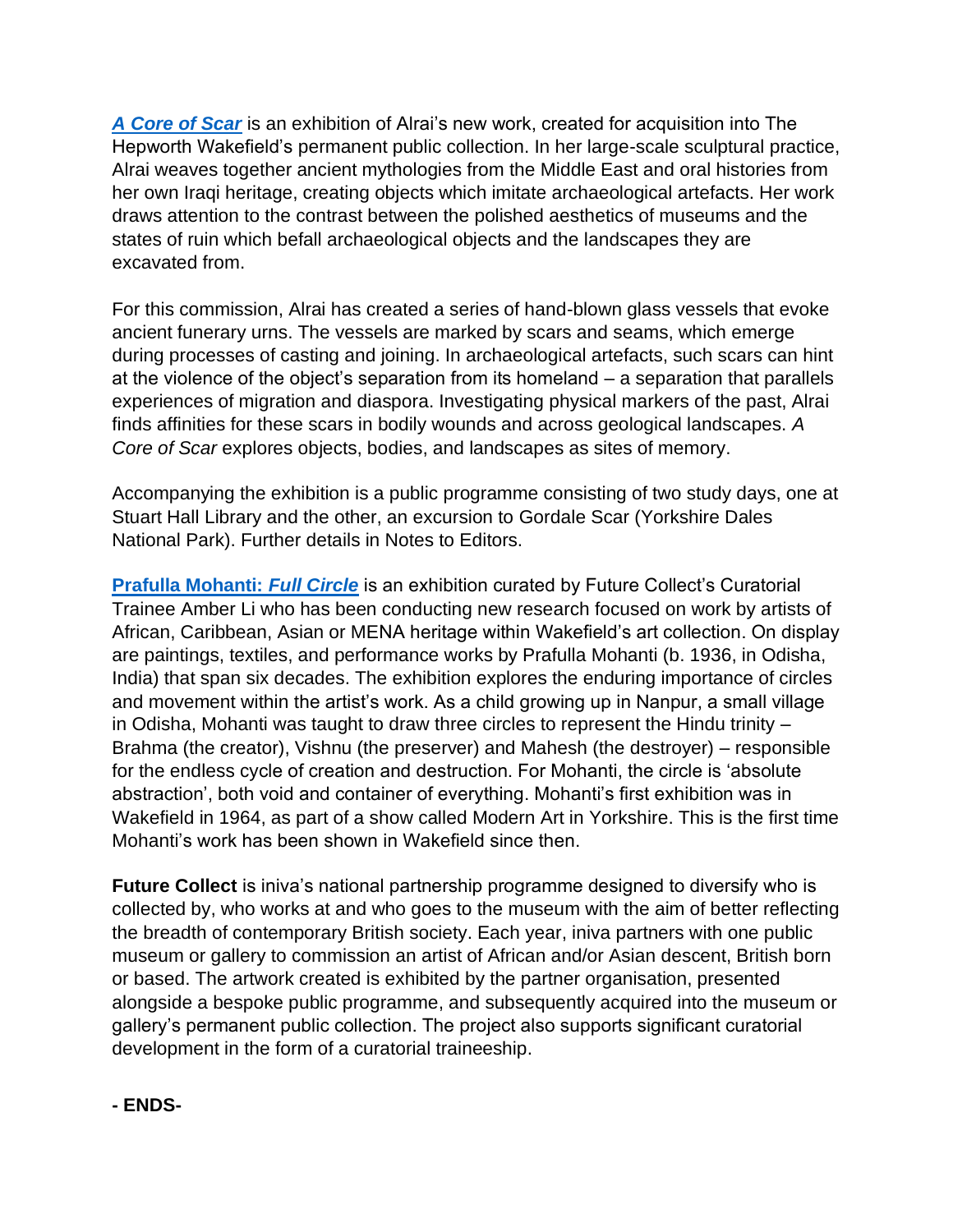*[A Core of Scar](https://hepworthwakefield.org/whats-on/emii-alrai-future-collect-commission/)* is an exhibition of Alrai's new work, created for acquisition into The Hepworth Wakefield's permanent public collection. In her large-scale sculptural practice, Alrai weaves together ancient mythologies from the Middle East and oral histories from her own Iraqi heritage, creating objects which imitate archaeological artefacts. Her work draws attention to the contrast between the polished aesthetics of museums and the states of ruin which befall archaeological objects and the landscapes they are excavated from.

For this commission, Alrai has created a series of hand-blown glass vessels that evoke ancient funerary urns. The vessels are marked by scars and seams, which emerge during processes of casting and joining. In archaeological artefacts, such scars can hint at the violence of the object's separation from its homeland – a separation that parallels experiences of migration and diaspora. Investigating physical markers of the past, Alrai finds affinities for these scars in bodily wounds and across geological landscapes. *A Core of Scar* explores objects, bodies, and landscapes as sites of memory.

Accompanying the exhibition is a public programme consisting of two study days, one at Stuart Hall Library and the other, an excursion to Gordale Scar (Yorkshire Dales National Park). Further details in Notes to Editors.

**[Prafulla Mohanti:](https://hepworthwakefield.org/whats-on/prafulla-mohanti-full-circle/)** *Full Circle* is an exhibition curated by Future Collect's Curatorial Trainee Amber Li who has been conducting new research focused on work by artists of African, Caribbean, Asian or MENA heritage within Wakefield's art collection. On display are paintings, textiles, and performance works by Prafulla Mohanti (b. 1936, in Odisha, India) that span six decades. The exhibition explores the enduring importance of circles and movement within the artist's work. As a child growing up in Nanpur, a small village in Odisha, Mohanti was taught to draw three circles to represent the Hindu trinity – Brahma (the creator), Vishnu (the preserver) and Mahesh (the destroyer) – responsible for the endless cycle of creation and destruction. For Mohanti, the circle is 'absolute abstraction', both void and container of everything. Mohanti's first exhibition was in Wakefield in 1964, as part of a show called Modern Art in Yorkshire. This is the first time Mohanti's work has been shown in Wakefield since then.

**Future Collect** is iniva's national partnership programme designed to diversify who is collected by, who works at and who goes to the museum with the aim of better reflecting the breadth of contemporary British society. Each year, iniva partners with one public museum or gallery to commission an artist of African and/or Asian descent, British born or based. The artwork created is exhibited by the partner organisation, presented alongside a bespoke public programme, and subsequently acquired into the museum or gallery's permanent public collection. The project also supports significant curatorial development in the form of a curatorial traineeship.

# **- ENDS-**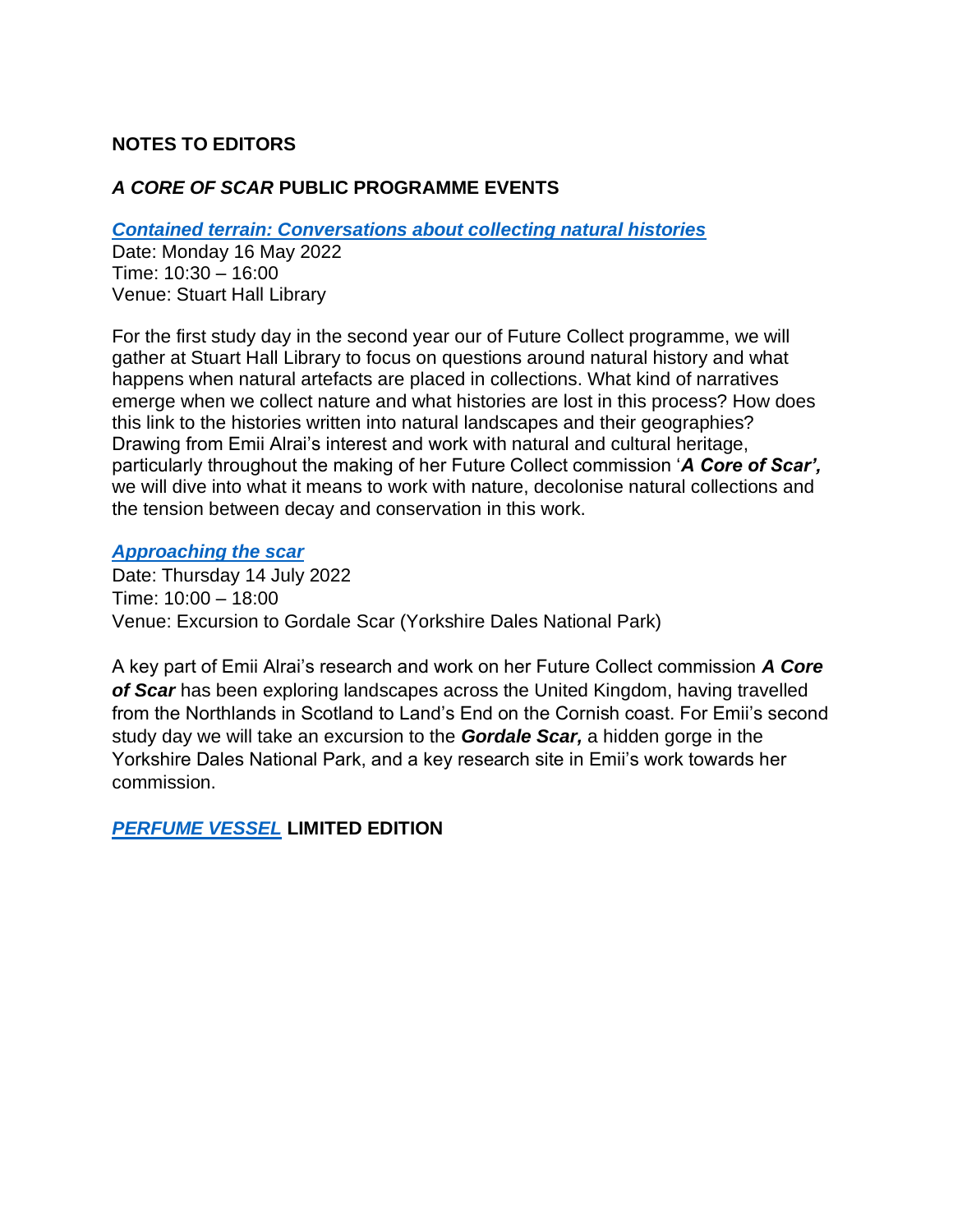# **NOTES TO EDITORS**

## *A CORE OF SCAR* **PUBLIC PROGRAMME EVENTS**

*[Contained terrain: Conversations about collecting natural histories](https://iniva.org/programme/events/contained-terrain-conversations-about-collecting-natural-histories/)*

Date: Monday 16 May 2022 Time: 10:30 – 16:00 Venue: Stuart Hall Library

For the first study day in the second year our of Future Collect programme, we will gather at Stuart Hall Library to focus on questions around natural history and what happens when natural artefacts are placed in collections. What kind of narratives emerge when we collect nature and what histories are lost in this process? How does this link to the histories written into natural landscapes and their geographies? Drawing from Emii Alrai's interest and work with natural and cultural heritage, particularly throughout the making of her Future Collect commission '*A Core of Scar',* we will dive into what it means to work with nature, decolonise natural collections and the tension between decay and conservation in this work.

#### *[Approaching the scar](https://iniva.org/programme/events/approaching-the-scar/)*

Date: Thursday 14 July 2022 Time: 10:00 – 18:00 Venue: Excursion to Gordale Scar (Yorkshire Dales National Park)

A key part of Emii Alrai's research and work on her Future Collect commission *A Core of Scar* has been exploring landscapes across the United Kingdom, having travelled from the Northlands in Scotland to Land's End on the Cornish coast. For Emii's second study day we will take an excursion to the *Gordale Scar,* a hidden gorge in the Yorkshire Dales National Park, and a key research site in Emii's work towards her commission.

*[PERFUME VESSEL](https://iniva.org/shop/artist-prints/perfume-vessel/?mc_cid=fde7c0fe9a&mc_eid=UNIQID)* **LIMITED EDITION**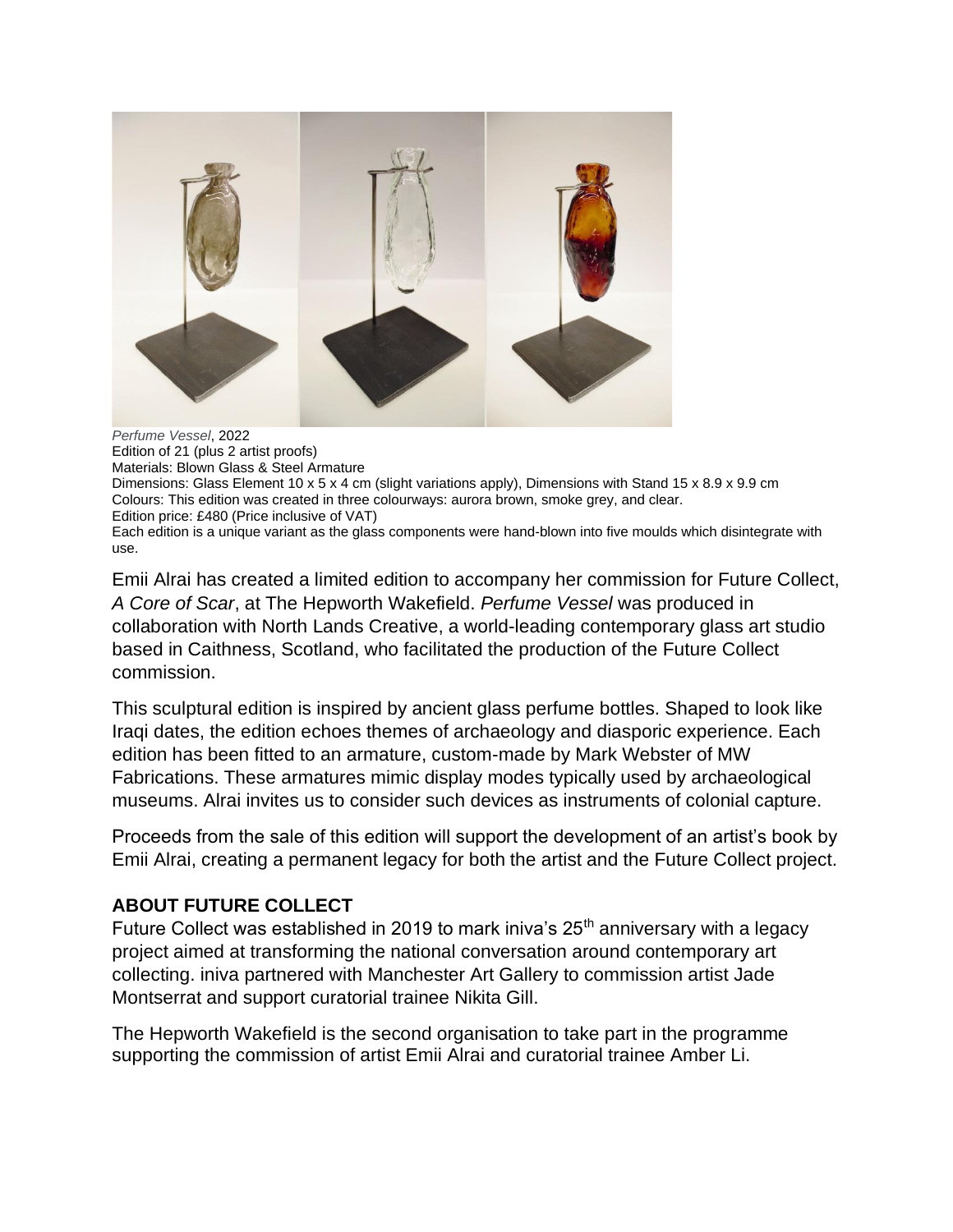

*Perfume Vessel*, 2022 Edition of 21 (plus 2 artist proofs) Materials: Blown Glass & Steel Armature Dimensions: Glass Element 10 x 5 x 4 cm (slight variations apply), Dimensions with Stand 15 x 8.9 x 9.9 cm Colours: This edition was created in three colourways: aurora brown, smoke grey, and clear. Edition price: £480 (Price inclusive of VAT) Each edition is a unique variant as the glass components were hand-blown into five moulds which disintegrate with use.

Emii Alrai has created a limited edition to accompany her commission for Future Collect, *A Core of Scar*, at The Hepworth Wakefield. *Perfume Vessel* was produced in collaboration with North Lands Creative, a world-leading contemporary glass art studio based in Caithness, Scotland, who facilitated the production of the Future Collect commission.

This sculptural edition is inspired by ancient glass perfume bottles. Shaped to look like Iraqi dates, the edition echoes themes of archaeology and diasporic experience. Each edition has been fitted to an armature, custom-made by Mark Webster of MW Fabrications. These armatures mimic display modes typically used by archaeological museums. Alrai invites us to consider such devices as instruments of colonial capture.

Proceeds from the sale of this edition will support the development of an artist's book by Emii Alrai, creating a permanent legacy for both the artist and the Future Collect project.

# **ABOUT FUTURE COLLECT**

Future Collect was established in 2019 to mark iniva's  $25<sup>th</sup>$  anniversary with a legacy project aimed at transforming the national conversation around contemporary art collecting. iniva partnered with Manchester Art Gallery to commission artist Jade Montserrat and support curatorial trainee Nikita Gill.

The Hepworth Wakefield is the second organisation to take part in the programme supporting the commission of artist Emii Alrai and curatorial trainee Amber Li.